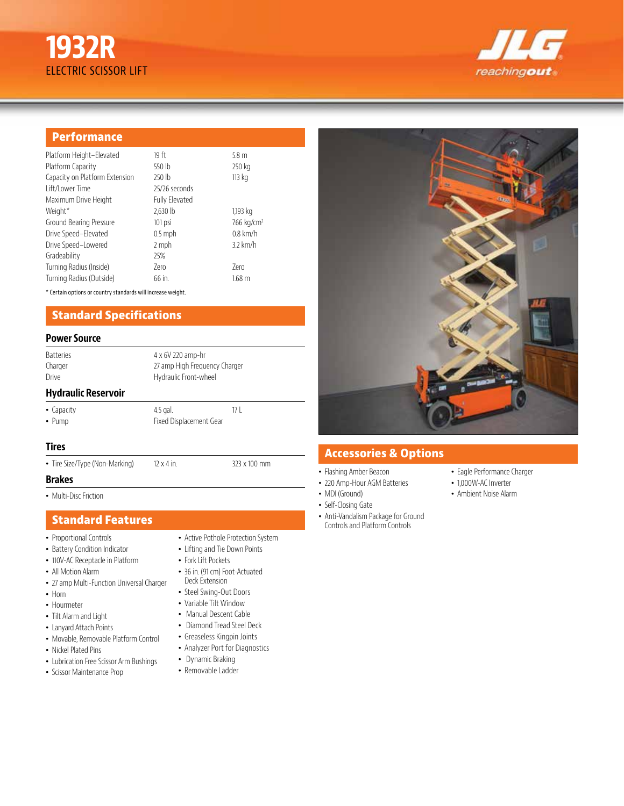# **1932R** ELECTRIC SCISSOR LIFT



# **Performance**

| Platform Height-Elevated       | 19 ft                 | 5.8 <sub>m</sub>        |
|--------------------------------|-----------------------|-------------------------|
| Platform Capacity              | 550 lb                | 250 kg                  |
| Capacity on Platform Extension | 250 lb                | 113 kg                  |
| Lift/Lower Time                | 25/26 seconds         |                         |
| Maximum Drive Height           | <b>Fully Elevated</b> |                         |
| Weight*                        | $2,630$ lb            | 1,193 kg                |
| Ground Bearing Pressure        | 101 psi               | 7.66 kg/cm <sup>2</sup> |
| Drive Speed-Elevated           | $0.5$ mph             | $0.8$ km/h              |
| Drive Speed-Lowered            | 2 mph                 | $3.2$ km/h              |
| Gradeability                   | 25%                   |                         |
| Turning Radius (Inside)        | 7ero                  | 7ero                    |
| Turning Radius (Outside)       | 66 in.                | 168 <sub>m</sub>        |
|                                |                       |                         |

\* Certain options or country standards will increase weight.

# **Standard Specifications**

#### **Power Source**

| <b>Batteries</b> |  |  |
|------------------|--|--|
| Charger          |  |  |
| Drive            |  |  |

27 amp High Frequency Charger Hydraulic Front-wheel

4 x 6V 220 amp-hr

# **Hydraulic Reservoir**

• Capacity 4.5 gal. 17 L • Pump Fixed Displacement Gear

# **Tires**

• Tire Size/Type (Non-Marking) 12 x 4 in. 323 x 100 mm

# **Brakes**

• Multi-Disc Friction

# **Standard Features**

- Proportional Controls
- Battery Condition Indicator
- 110V-AC Receptacle in Platform
- All Motion Alarm
- 27 amp Multi-Function Universal Charger
- Horn
- Hourmeter
- Tilt Alarm and Light
- Lanyard Attach Points
- Movable, Removable Platform Control
- Nickel Plated Pins
- Lubrication Free Scissor Arm Bushings
- Scissor Maintenance Prop
- Active Pothole Protection System • Lifting and Tie Down Points
- 
- Fork Lift Pockets
- 36 in. (91 cm) Foot-Actuated Deck Extension
- Steel Swing-Out Doors
- Variable Tilt Window
- Manual Descent Cable
- Diamond Tread Steel Deck
- Greaseless Kingpin Joints
- Analyzer Port for Diagnostics
- Dynamic Braking
- Removable Ladder

# **Accessories & Options**

- Flashing Amber Beacon
- 220 Amp-Hour AGM Batteries
- MDI (Ground)
- Self-Closing Gate
- Anti-Vandalism Package for Ground Controls and Platform Controls
- Eagle Performance Charger
- 1,000W-AC Inverter
- Ambient Noise Alarm